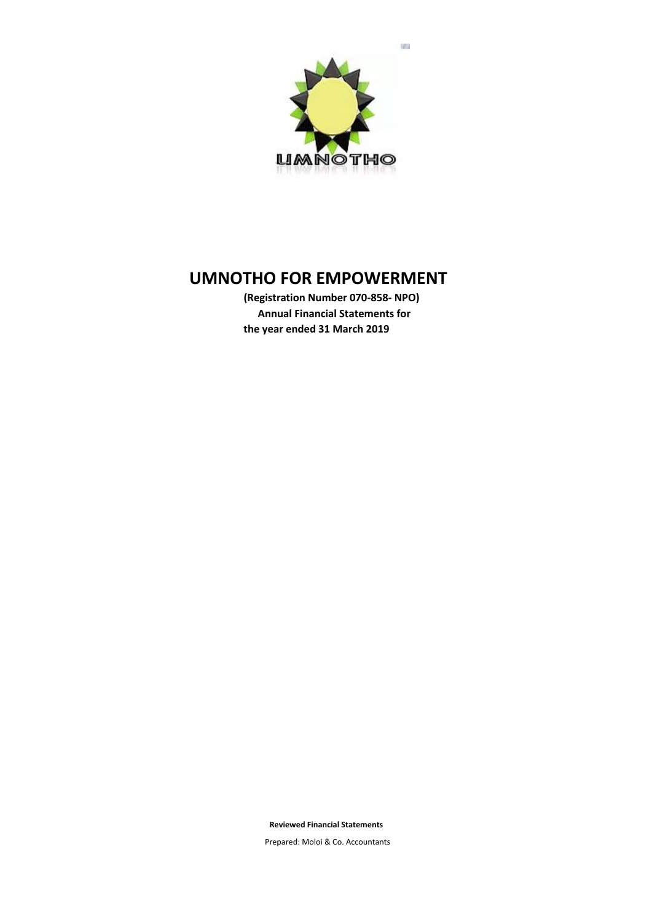

**(Registration Number 070-858- NPO) Annual Financial Statements for the year ended 31 March 2019**

**Reviewed Financial Statements**

Prepared: Moloi & Co. Accountants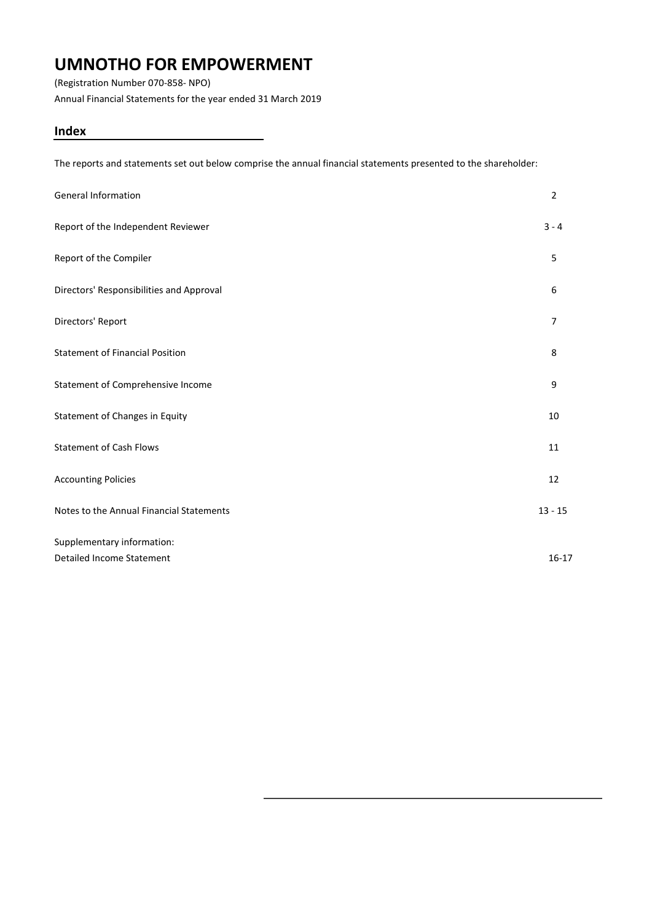(Registration Number 070-858- NPO)

Annual Financial Statements for the year ended 31 March 2019

## **Index**

The reports and statements set out below comprise the annual financial statements presented to the shareholder:

| <b>General Information</b>               | $\overline{2}$ |
|------------------------------------------|----------------|
| Report of the Independent Reviewer       | $3 - 4$        |
| Report of the Compiler                   | 5              |
| Directors' Responsibilities and Approval | 6              |
| Directors' Report                        | $\overline{7}$ |
| <b>Statement of Financial Position</b>   | 8              |
| Statement of Comprehensive Income        | 9              |
| Statement of Changes in Equity           | 10             |
| <b>Statement of Cash Flows</b>           | 11             |
| <b>Accounting Policies</b>               | 12             |
| Notes to the Annual Financial Statements | $13 - 15$      |
| Supplementary information:               |                |
| Detailed Income Statement                | $16 - 17$      |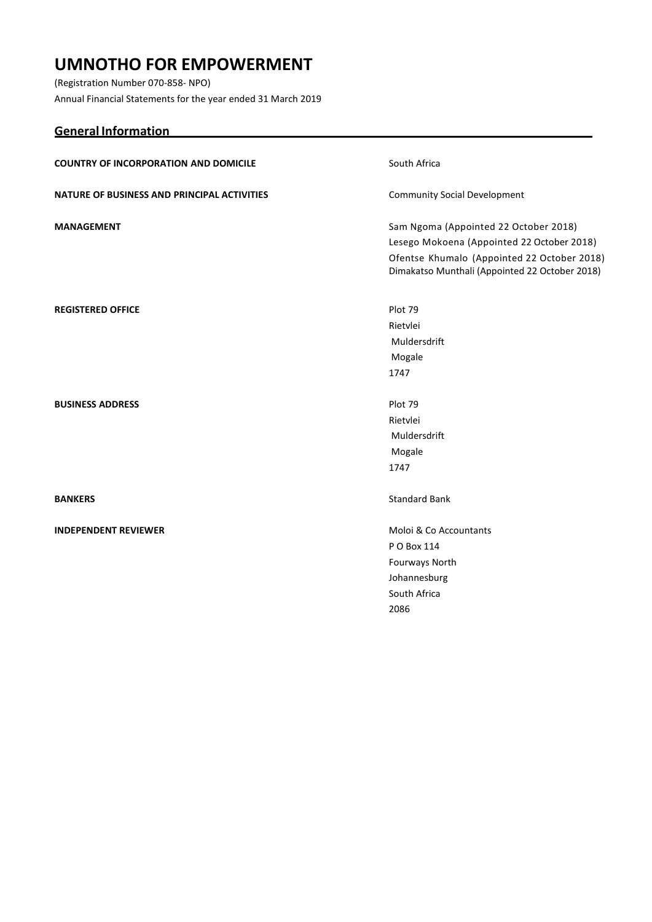(Registration Number 070-858- NPO) Annual Financial Statements for the year ended 31 March 2019

**General Information**

# **COUNTRY OF INCORPORATION AND DOMICILE** South Africa **NATURE OF BUSINESS AND PRINCIPAL ACTIVITIES** Community Social Development **MANAGEMENT** Sam Ngoma (Appointed 22 October 2018) Lesego Mokoena (Appointed 22 October 2018) Ofentse Khumalo (Appointed 22 October 2018) Dimakatso Munthali (Appointed 22 October 2018) **REGISTERED OFFICE** Plot 79 Rietvlei Muldersdrift Mogale 1747 **BUSINESS ADDRESS Plot 79** Rietvlei Muldersdrift Mogale 1747 **BANKERS** Standard Bank **INDEPENDENT REVIEWER** Moloi & Co Accountants P O Box 114 Fourways North Johannesburg South Africa 2086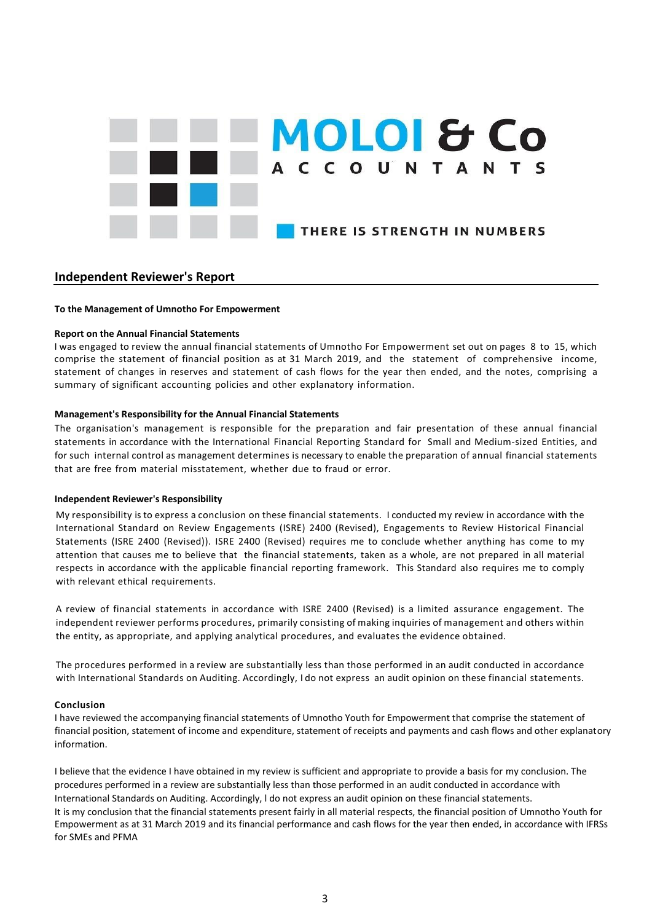

## **Independent Reviewer's Report**

#### **To the Management of Umnotho For Empowerment**

#### **Report on the Annual Financial Statements**

I was engaged to review the annual financial statements of Umnotho For Empowerment set out on pages 8 to 15, which comprise the statement of financial position as at 31 March 2019, and the statement of comprehensive income, statement of changes in reserves and statement of cash flows for the year then ended, and the notes, comprising a summary of significant accounting policies and other explanatory information.

#### **Management's Responsibility for the Annual Financial Statements**

The organisation's management is responsible for the preparation and fair presentation of these annual financial statements in accordance with the International Financial Reporting Standard for Small and Medium-sized Entities, and for such internal control as management determines is necessary to enable the preparation of annual financial statements that are free from material misstatement, whether due to fraud or error.

#### **Independent Reviewer's Responsibility**

My responsibility is to express a conclusion on these financial statements. I conducted my review in accordance with the International Standard on Review Engagements (ISRE) 2400 (Revised), Engagements to Review Historical Financial Statements (ISRE 2400 (Revised)). ISRE 2400 (Revised) requires me to conclude whether anything has come to my attention that causes me to believe that the financial statements, taken as a whole, are not prepared in all material respects in accordance with the applicable financial reporting framework. This Standard also requires me to comply with relevant ethical requirements.

A review of financial statements in accordance with ISRE 2400 (Revised) is a limited assurance engagement. The independent reviewer performs procedures, primarily consisting of making inquiries of management and others within the entity, as appropriate, and applying analytical procedures, and evaluates the evidence obtained.

The procedures performed in a review are substantially less than those performed in an audit conducted in accordance with International Standards on Auditing. Accordingly, I do not express an audit opinion on these financial statements.

#### **Conclusion**

I have reviewed the accompanying financial statements of Umnotho Youth for Empowerment that comprise the statement of financial position, statement of income and expenditure, statement of receipts and payments and cash flows and other explanatory information.

I believe that the evidence I have obtained in my review is sufficient and appropriate to provide a basis for my conclusion. The procedures performed in a review are substantially less than those performed in an audit conducted in accordance with International Standards on Auditing. Accordingly, l do not express an audit opinion on these financial statements. It is my conclusion that the financial statements present fairly in all material respects, the financial position of Umnotho Youth for Empowerment as at 31 March 2019 and its financial performance and cash flows for the year then ended, in accordance with IFRSs for SMEs and PFMA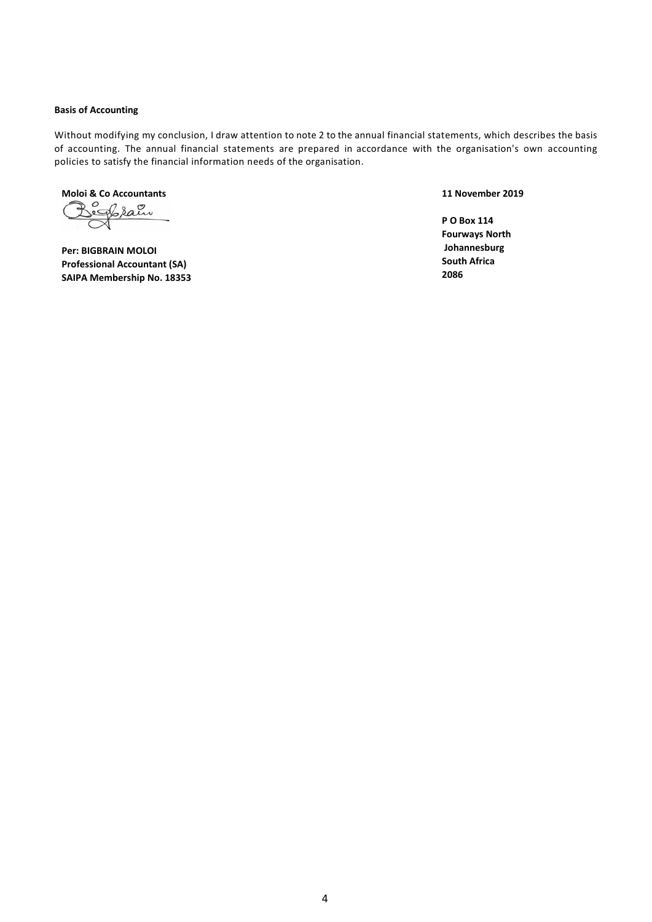#### **Basis of Accounting**

Without modifying my conclusion, I draw attention to note 2 to the annual financial statements, which describes the basis of accounting. The annual financial statements are prepared in accordance with the organisation's own accounting policies to satisfy the financial information needs of the organisation.

**Moloi & Co Accountants**

**Per: BIGBRAIN MOLOI Professional Accountant (SA) SAIPA Membership No. 18353** **11 November 2019**

**P O Box 114 Fourways North Johannesburg South Africa 2086**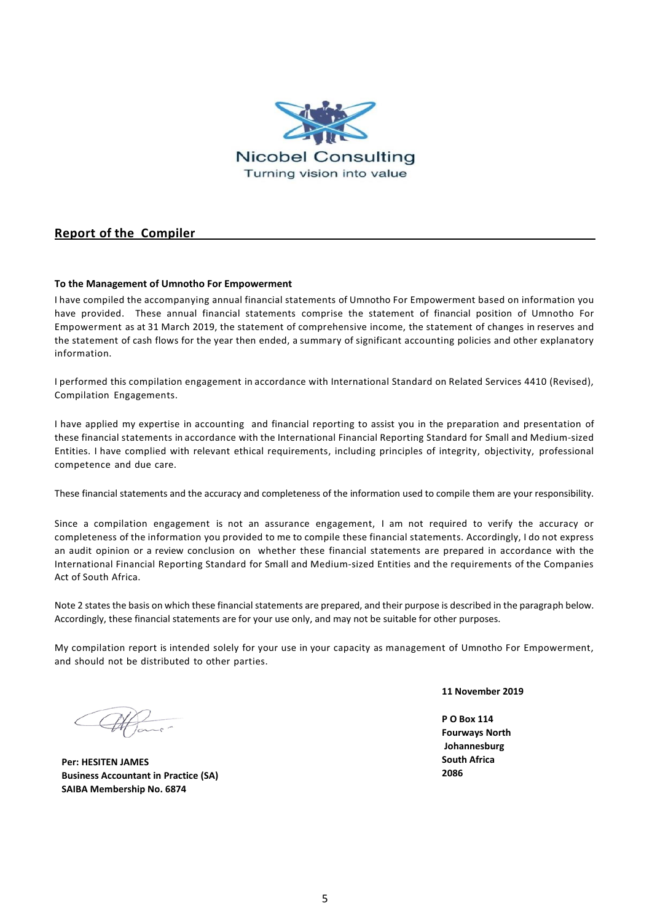

### <span id="page-5-0"></span>**Report of the Compiler**

### **To the Management of Umnotho For Empowerment**

I have compiled the accompanying annual financial statements of Umnotho For Empowerment based on information you have provided. These annual financial statements comprise the statement of financial position of Umnotho For Empowerment as at 31 March 2019, the statement of comprehensive income, the statement of changes in reserves and the statement of cash flows for the year then ended, a summary of significant accounting policies and other explanatory information.

I performed this compilation engagement in accordance with International Standard on Related Services 4410 (Revised), Compilation Engagements.

I have applied my expertise in accounting and financial reporting to assist you in the preparation and presentation of these financial statements in accordance with the International Financial Reporting Standard for Small and Medium-sized Entities. I have complied with relevant ethical requirements, including principles of integrity, objectivity, professional competence and due care.

These financial statements and the accuracy and completeness of the information used to compile them are your responsibility.

Since a compilation engagement is not an assurance engagement, I am not required to verify the accuracy or completeness of the information you provided to me to compile these financial statements. Accordingly, I do not express an audit opinion or a review conclusion on whether these financial statements are prepared in accordance with the International Financial Reporting Standard for Small and Medium-sized Entities and the requirements of the Companies Act of South Africa.

Note 2 states the basis on which these financial statements are prepared, and their purpose is described in the paragraph below. Accordingly, these financial statements are for your use only, and may not be suitable for other purposes.

My compilation report is intended solely for your use in your capacity as management of Umnotho For Empowerment, and should not be distributed to other parties.

**Per: HESITEN JAMES Business Accountant in Practice (SA) SAIBA Membership No. 6874**

**11 November 2019**

**P O Box 114 Fourways North Johannesburg South Africa 2086**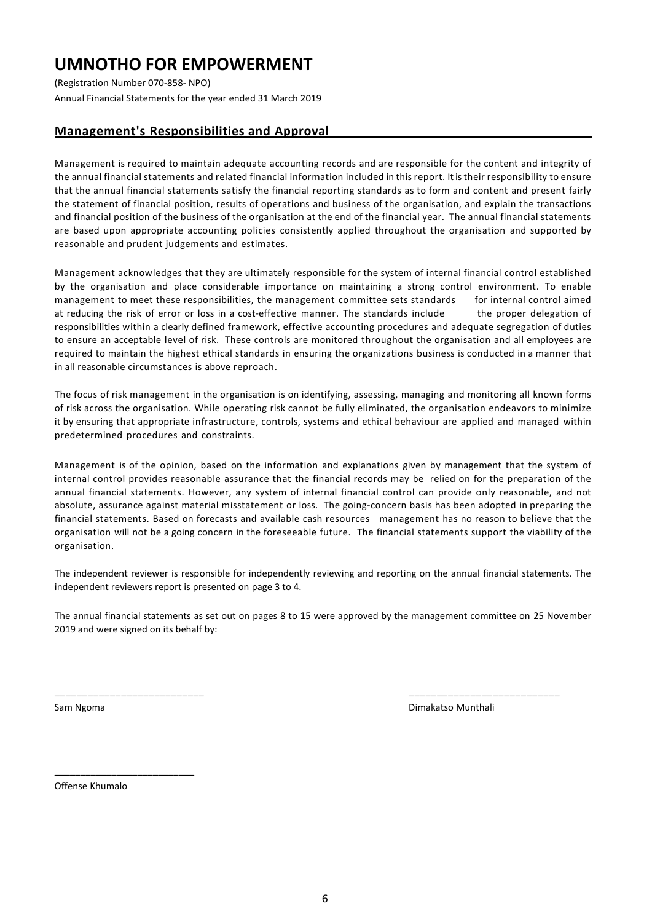(Registration Number 070-858- NPO) Annual Financial Statements for the year ended 31 March 2019

## **Management's Responsibilities and Approval**

Management is required to maintain adequate accounting records and are responsible for the content and integrity of the annual financial statements and related financial information included in this report. It is their responsibility to ensure that the annual financial statements satisfy the financial reporting standards as to form and content and present fairly the statement of financial position, results of operations and business of the organisation, and explain the transactions and financial position of the business of the organisation at the end of the financial year. The annual financial statements are based upon appropriate accounting policies consistently applied throughout the organisation and supported by reasonable and prudent judgements and estimates.

Management acknowledges that they are ultimately responsible for the system of internal financial control established by the organisation and place considerable importance on maintaining a strong control environment. To enable management to meet these responsibilities, the management committee sets standards for internal control aimed at reducing the risk of error or loss in a cost-effective manner. The standards include the proper delegation of responsibilities within a clearly defined framework, effective accounting procedures and adequate segregation of duties to ensure an acceptable level of risk. These controls are monitored throughout the organisation and all employees are required to maintain the highest ethical standards in ensuring the organizations business is conducted in a manner that in all reasonable circumstances is above reproach.

The focus of risk management in the organisation is on identifying, assessing, managing and monitoring all known forms of risk across the organisation. While operating risk cannot be fully eliminated, the organisation endeavors to minimize it by ensuring that appropriate infrastructure, controls, systems and ethical behaviour are applied and managed within predetermined procedures and constraints.

Management is of the opinion, based on the information and explanations given by management that the system of internal control provides reasonable assurance that the financial records may be relied on for the preparation of the annual financial statements. However, any system of internal financial control can provide only reasonable, and not absolute, assurance against material misstatement or loss. The going-concern basis has been adopted in preparing the financial statements. Based on forecasts and available cash resources management has no reason to believe that the organisation will not be a going concern in the foreseeable future. The financial statements support the viability of the organisation.

The independent reviewer is responsible for independently reviewing and reporting on the annual financial statements. The independent reviewers report is presented on page 3 to 4.

The annual financial statements as set out on pages 8 to 15 were approved by the management committee on 25 November 2019 and were signed on its behalf by:

\_\_\_\_\_\_\_\_\_\_\_\_\_\_\_\_\_\_\_\_\_\_\_\_\_\_\_ \_\_\_\_\_\_\_\_\_\_\_\_\_\_\_\_\_\_\_\_\_\_\_\_\_\_\_

Sam Ngoma Dimakatso Munthali

Offense Khumalo

\_\_\_\_\_\_\_\_\_\_\_\_\_\_\_\_\_\_\_\_\_\_\_\_\_\_\_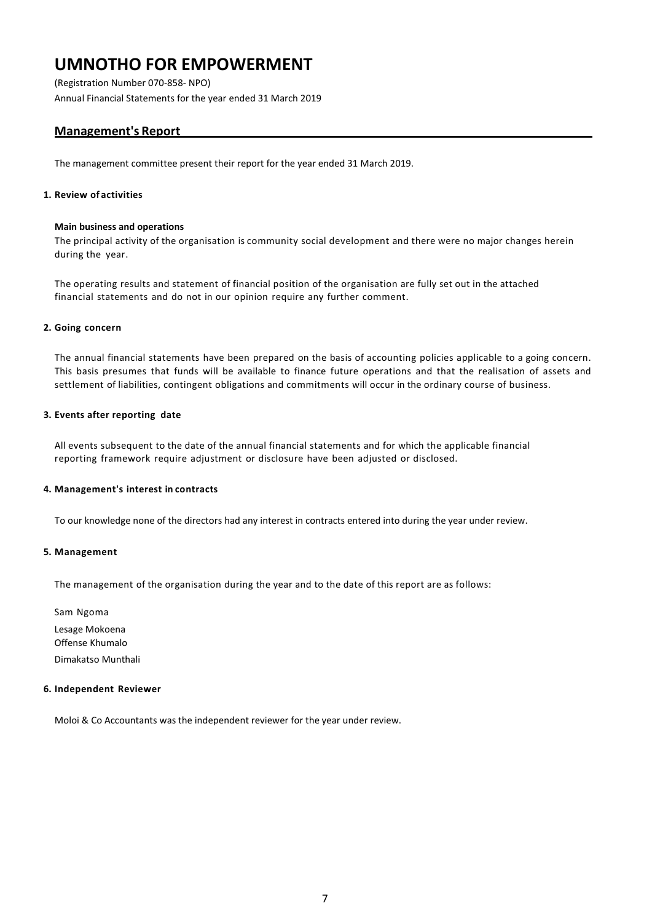(Registration Number 070-858- NPO) Annual Financial Statements for the year ended 31 March 2019

## **Management's Report**

The management committee present their report for the year ended 31 March 2019.

### **1. Review of activities**

#### **Main business and operations**

The principal activity of the organisation is community social development and there were no major changes herein during the year.

The operating results and statement of financial position of the organisation are fully set out in the attached financial statements and do not in our opinion require any further comment.

### **2. Going concern**

The annual financial statements have been prepared on the basis of accounting policies applicable to a going concern. This basis presumes that funds will be available to finance future operations and that the realisation of assets and settlement of liabilities, contingent obligations and commitments will occur in the ordinary course of business.

### **3. Events after reporting date**

All events subsequent to the date of the annual financial statements and for which the applicable financial reporting framework require adjustment or disclosure have been adjusted or disclosed.

### **4. Management's interest in contracts**

To our knowledge none of the directors had any interest in contracts entered into during the year under review.

### **5. Management**

The management of the organisation during the year and to the date of this report are as follows:

Sam Ngoma Lesage Mokoena Offense Khumalo Dimakatso Munthali

#### **6. Independent Reviewer**

Moloi & Co Accountants was the independent reviewer for the year under review.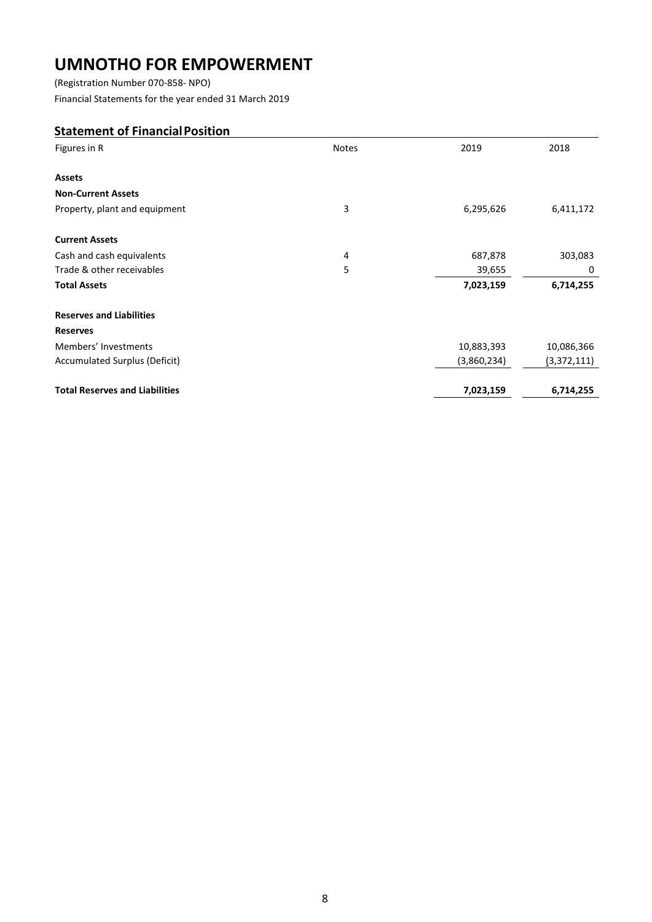(Registration Number 070-858- NPO)

Financial Statements for the year ended 31 March 2019

## <span id="page-8-0"></span>**Statement of FinancialPosition**

| Figures in R                          | <b>Notes</b> | 2019        | 2018        |
|---------------------------------------|--------------|-------------|-------------|
|                                       |              |             |             |
| <b>Assets</b>                         |              |             |             |
| <b>Non-Current Assets</b>             |              |             |             |
| Property, plant and equipment         | 3            | 6,295,626   | 6,411,172   |
| <b>Current Assets</b>                 |              |             |             |
| Cash and cash equivalents             | 4            | 687,878     | 303,083     |
| Trade & other receivables             | 5            | 39,655      | 0           |
| <b>Total Assets</b>                   |              | 7,023,159   | 6,714,255   |
| <b>Reserves and Liabilities</b>       |              |             |             |
| <b>Reserves</b>                       |              |             |             |
| Members' Investments                  |              | 10,883,393  | 10,086,366  |
| Accumulated Surplus (Deficit)         |              | (3,860,234) | (3,372,111) |
| <b>Total Reserves and Liabilities</b> |              | 7,023,159   | 6,714,255   |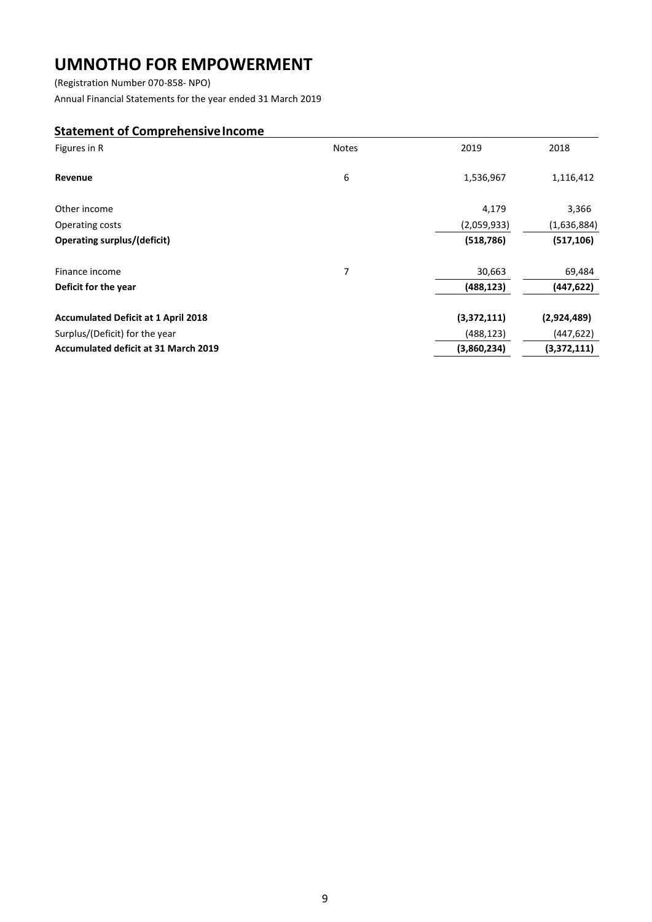(Registration Number 070-858- NPO)

Annual Financial Statements for the year ended 31 March 2019

### <span id="page-9-0"></span>**Statement of Comprehensive Income**

| Figures in R                                | <b>Notes</b> | 2019        | 2018        |
|---------------------------------------------|--------------|-------------|-------------|
| Revenue                                     | 6            | 1,536,967   | 1,116,412   |
| Other income                                |              | 4,179       | 3,366       |
| Operating costs                             |              | (2,059,933) | (1,636,884) |
| Operating surplus/(deficit)                 |              | (518, 786)  | (517, 106)  |
| Finance income                              | 7            | 30,663      | 69,484      |
| Deficit for the year                        |              | (488, 123)  | (447, 622)  |
| <b>Accumulated Deficit at 1 April 2018</b>  |              | (3,372,111) | (2,924,489) |
| Surplus/(Deficit) for the year              |              | (488, 123)  | (447,622)   |
| <b>Accumulated deficit at 31 March 2019</b> |              | (3,860,234) | (3,372,111) |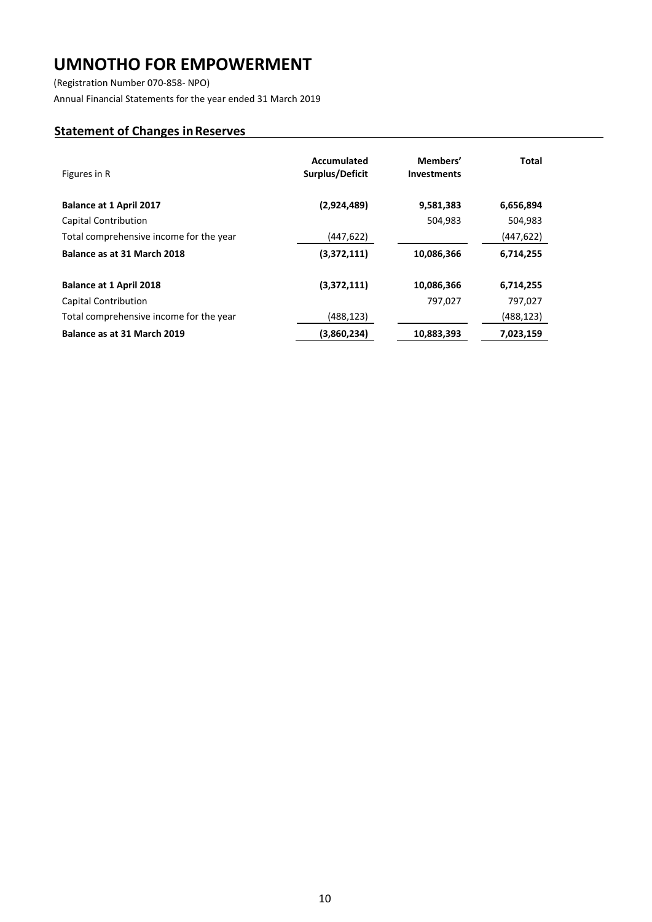(Registration Number 070-858- NPO)

Annual Financial Statements for the year ended 31 March 2019

## **Statement of Changes inReserves**

| Figures in R                            | Accumulated<br>Surplus/Deficit | Members'<br><b>Investments</b> | <b>Total</b> |
|-----------------------------------------|--------------------------------|--------------------------------|--------------|
| <b>Balance at 1 April 2017</b>          | (2,924,489)                    | 9,581,383                      | 6,656,894    |
| Capital Contribution                    |                                | 504,983                        | 504,983      |
| Total comprehensive income for the year | (447, 622)                     |                                | (447,622)    |
| Balance as at 31 March 2018             | (3,372,111)                    | 10,086,366                     | 6,714,255    |
| <b>Balance at 1 April 2018</b>          | (3,372,111)                    | 10,086,366                     | 6,714,255    |
| <b>Capital Contribution</b>             |                                | 797,027                        | 797,027      |
| Total comprehensive income for the year | (488, 123)                     |                                | (488,123)    |
| Balance as at 31 March 2019             | (3,860,234)                    | 10,883,393                     | 7,023,159    |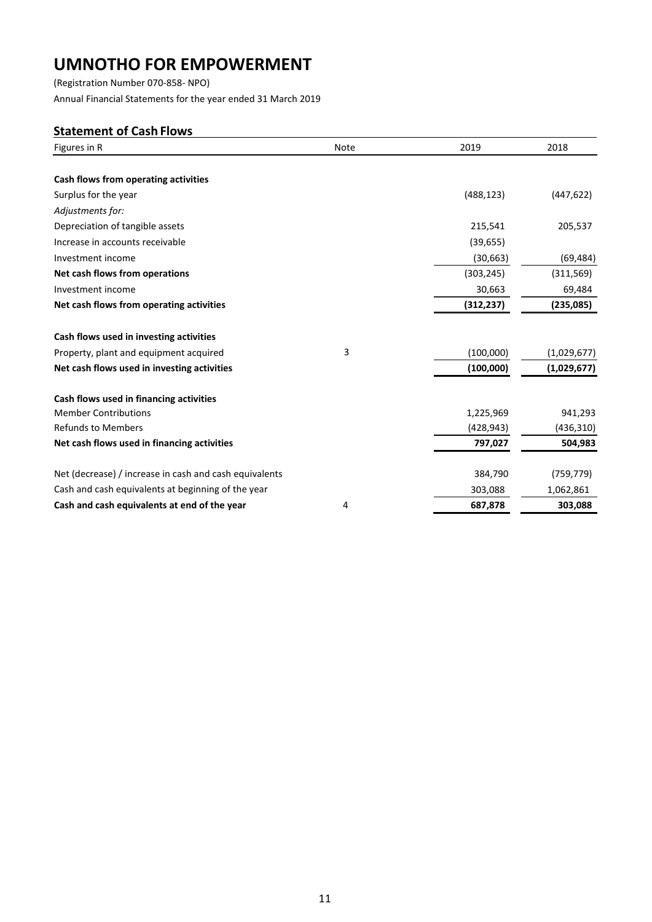(Registration Number 070-858- NPO) Annual Financial Statements for the year ended 31 March 2019

## <span id="page-11-0"></span>**Statement of Cash Flows**

| Figures in R                                           | Note | 2019       | 2018        |
|--------------------------------------------------------|------|------------|-------------|
|                                                        |      |            |             |
| Cash flows from operating activities                   |      |            |             |
| Surplus for the year                                   |      | (488, 123) | (447, 622)  |
| Adjustments for:                                       |      |            |             |
| Depreciation of tangible assets                        |      | 215,541    | 205,537     |
| Increase in accounts receivable                        |      | (39, 655)  |             |
| Investment income                                      |      | (30, 663)  | (69, 484)   |
| Net cash flows from operations                         |      | (303, 245) | (311, 569)  |
| Investment income                                      |      | 30,663     | 69,484      |
| Net cash flows from operating activities               |      | (312, 237) | (235,085)   |
| Cash flows used in investing activities                |      |            |             |
| Property, plant and equipment acquired                 | 3    | (100,000)  | (1,029,677) |
| Net cash flows used in investing activities            |      | (100,000)  | (1,029,677) |
| Cash flows used in financing activities                |      |            |             |
| <b>Member Contributions</b>                            |      | 1,225,969  | 941,293     |
| <b>Refunds to Members</b>                              |      | (428, 943) | (436, 310)  |
| Net cash flows used in financing activities            |      | 797,027    | 504,983     |
| Net (decrease) / increase in cash and cash equivalents |      | 384,790    | (759, 779)  |
| Cash and cash equivalents at beginning of the year     |      | 303,088    | 1,062,861   |
| Cash and cash equivalents at end of the year           | 4    | 687,878    | 303,088     |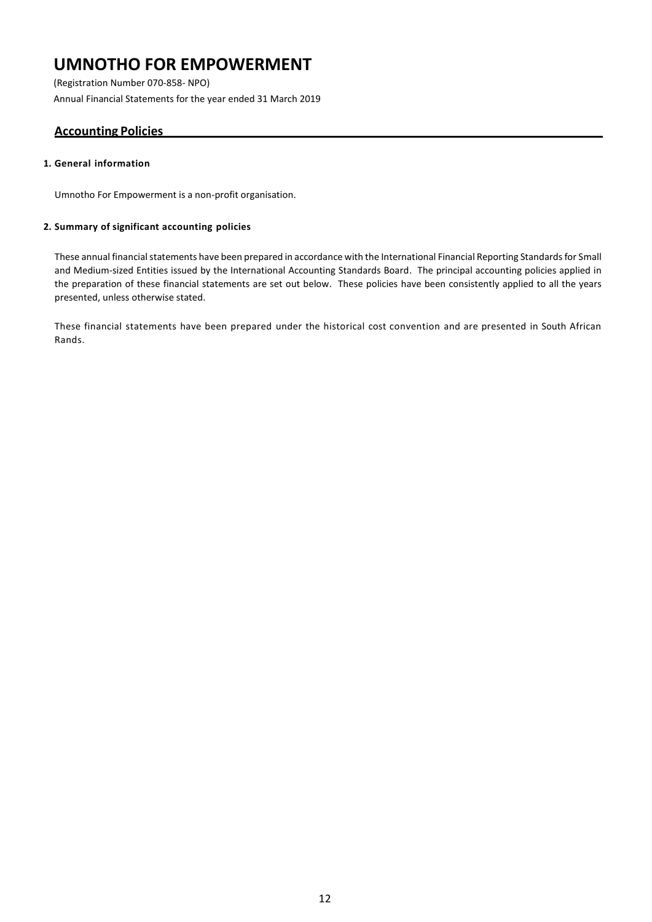(Registration Number 070-858- NPO) Annual Financial Statements for the year ended 31 March 2019

## <span id="page-12-0"></span>**Accounting Policies**

### **1. General information**

Umnotho For Empowerment is a non-profit organisation.

### **2. Summary of significant accounting policies**

These annual financial statements have been prepared in accordance with the International Financial Reporting Standards for Small and Medium-sized Entities issued by the International Accounting Standards Board. The principal accounting policies applied in the preparation of these financial statements are set out below. These policies have been consistently applied to all the years presented, unless otherwise stated.

These financial statements have been prepared under the historical cost convention and are presented in South African Rands.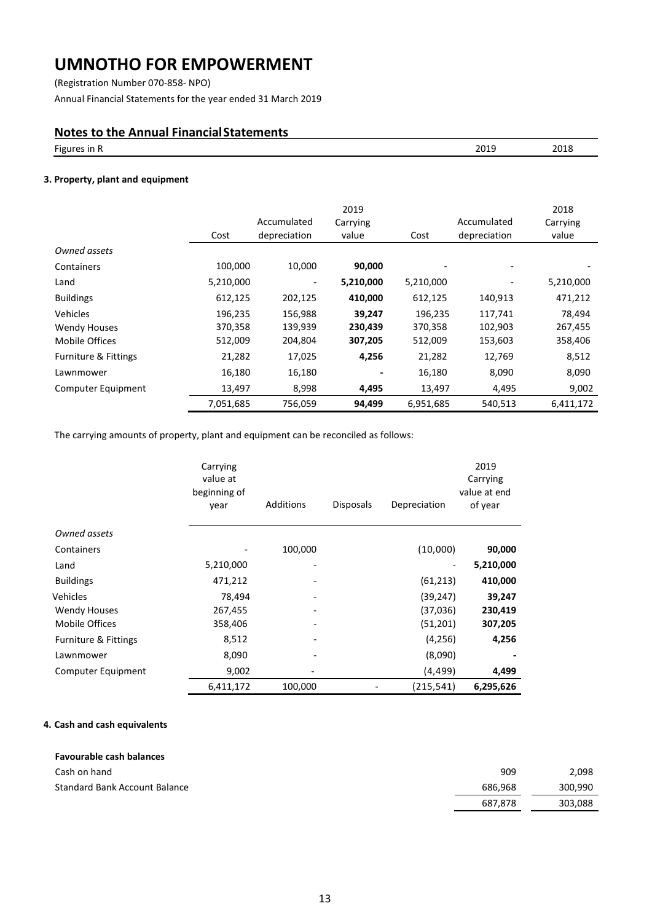(Registration Number 070-858- NPO)

Annual Financial Statements for the year ended 31 March 2019

## **Notes to the Annual FinancialStatements**

| $- \cdot$<br>Figures in R<br>.<br>___ | 2010<br>5019 | 2018 |
|---------------------------------------|--------------|------|
|                                       |              |      |

### **3. Property, plant and equipment**

|                           | Cost      | Accumulated<br>depreciation | 2019<br>Carrying<br>value | Cost      | Accumulated<br>depreciation | 2018<br>Carrying<br>value |
|---------------------------|-----------|-----------------------------|---------------------------|-----------|-----------------------------|---------------------------|
| Owned assets              |           |                             |                           |           |                             |                           |
| Containers                | 100,000   | 10,000                      | 90,000                    |           |                             |                           |
| Land                      | 5,210,000 |                             | 5,210,000                 | 5,210,000 |                             | 5,210,000                 |
| <b>Buildings</b>          | 612,125   | 202,125                     | 410,000                   | 612,125   | 140,913                     | 471,212                   |
| Vehicles                  | 196,235   | 156,988                     | 39,247                    | 196,235   | 117,741                     | 78,494                    |
| <b>Wendy Houses</b>       | 370,358   | 139,939                     | 230,439                   | 370,358   | 102,903                     | 267,455                   |
| Mobile Offices            | 512,009   | 204,804                     | 307,205                   | 512,009   | 153,603                     | 358,406                   |
| Furniture & Fittings      | 21,282    | 17,025                      | 4,256                     | 21,282    | 12,769                      | 8,512                     |
| Lawnmower                 | 16,180    | 16,180                      |                           | 16,180    | 8,090                       | 8,090                     |
| <b>Computer Equipment</b> | 13,497    | 8,998                       | 4,495                     | 13,497    | 4,495                       | 9,002                     |
|                           | 7,051,685 | 756,059                     | 94,499                    | 6,951,685 | 540,513                     | 6,411,172                 |

The carrying amounts of property, plant and equipment can be reconciled as follows:

|                      | Carrying<br>value at<br>beginning of<br>year | Additions | <b>Disposals</b> | Depreciation | 2019<br>Carrying<br>value at end<br>of year |
|----------------------|----------------------------------------------|-----------|------------------|--------------|---------------------------------------------|
| Owned assets         |                                              |           |                  |              |                                             |
| Containers           |                                              | 100,000   |                  | (10,000)     | 90,000                                      |
| Land                 | 5,210,000                                    |           |                  |              | 5,210,000                                   |
| <b>Buildings</b>     | 471,212                                      |           |                  | (61, 213)    | 410,000                                     |
| Vehicles             | 78,494                                       |           |                  | (39, 247)    | 39,247                                      |
| <b>Wendy Houses</b>  | 267,455                                      |           |                  | (37,036)     | 230,419                                     |
| Mobile Offices       | 358,406                                      |           |                  | (51, 201)    | 307,205                                     |
| Furniture & Fittings | 8,512                                        |           |                  | (4, 256)     | 4,256                                       |
| Lawnmower            | 8,090                                        |           |                  | (8,090)      |                                             |
| Computer Equipment   | 9,002                                        |           |                  | (4, 499)     | 4,499                                       |
|                      | 6,411,172                                    | 100,000   |                  | (215,541)    | 6,295,626                                   |

### **4. Cash and cash equivalents**

| Favourable cash balances             |         |         |
|--------------------------------------|---------|---------|
| Cash on hand                         | 909     | 2.098   |
| <b>Standard Bank Account Balance</b> | 686.968 | 300.990 |
|                                      | 687.878 | 303,088 |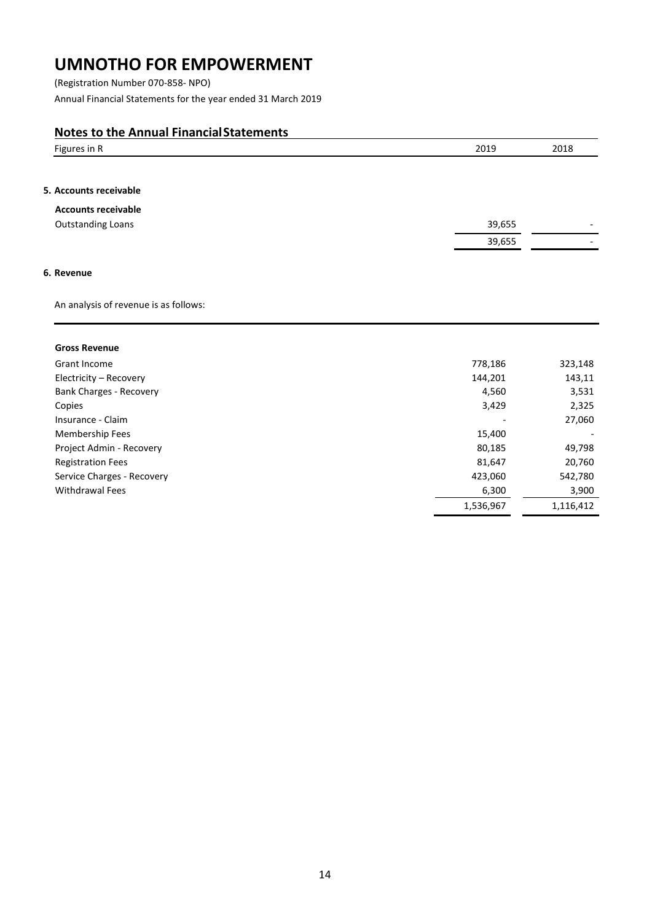(Registration Number 070-858- NPO) Annual Financial Statements for the year ended 31 March 2019

## **Notes to the Annual FinancialStatements**

| Figures in R                          | 2019      | 2018      |
|---------------------------------------|-----------|-----------|
|                                       |           |           |
| 5. Accounts receivable                |           |           |
| <b>Accounts receivable</b>            |           |           |
| <b>Outstanding Loans</b>              | 39,655    |           |
|                                       | 39,655    |           |
|                                       |           |           |
| 6. Revenue                            |           |           |
| An analysis of revenue is as follows: |           |           |
| <b>Gross Revenue</b>                  |           |           |
| Grant Income                          | 778,186   | 323,148   |
| Electricity - Recovery                | 144,201   | 143,11    |
| Bank Charges - Recovery               | 4,560     | 3,531     |
| Copies                                | 3,429     | 2,325     |
| Insurance - Claim                     |           | 27,060    |
| Membership Fees                       | 15,400    |           |
| Project Admin - Recovery              | 80,185    | 49,798    |
| <b>Registration Fees</b>              | 81,647    | 20,760    |
| Service Charges - Recovery            | 423,060   | 542,780   |
| Withdrawal Fees                       | 6,300     | 3,900     |
|                                       | 1,536,967 | 1,116,412 |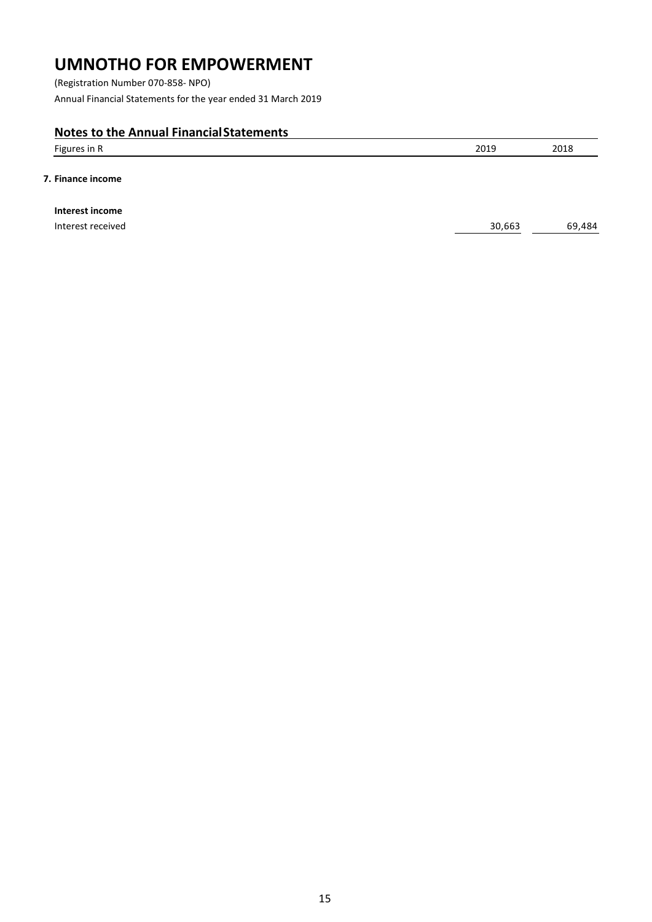(Registration Number 070-858- NPO) Annual Financial Statements for the year ended 31 March 2019

## **Notes to the Annual FinancialStatements**

| Figures in $\mathbf{r}$ | 2019 | 2018 |
|-------------------------|------|------|
|                         |      |      |

### **7. Finance income**

**Interest income**

Interest received 69,484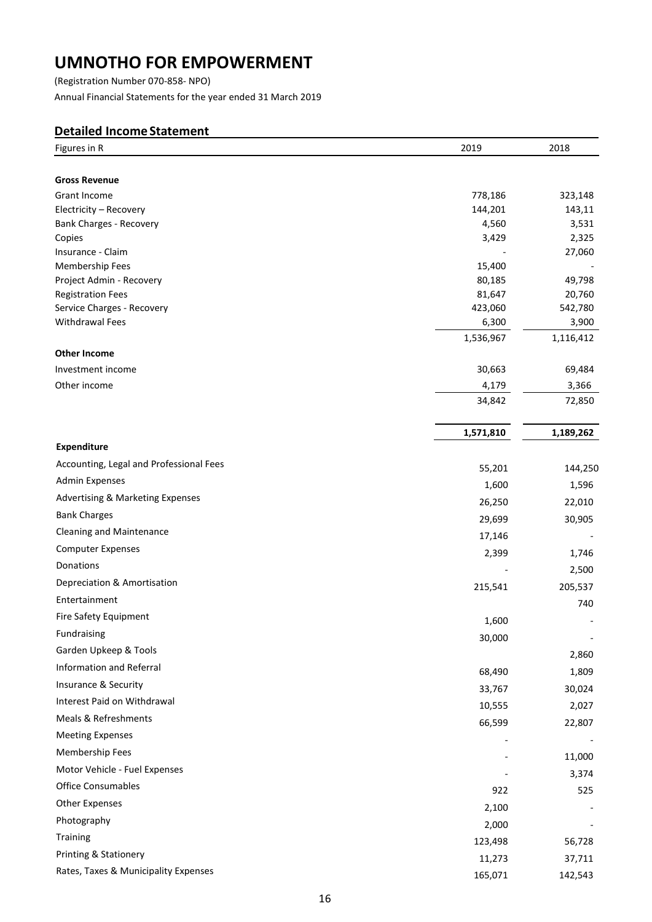(Registration Number 070-858- NPO) Annual Financial Statements for the year ended 31 March 2019

## <span id="page-16-0"></span>**Detailed Income Statement**

| <b>Gross Revenue</b><br>Grant Income<br>323,148<br>778,186<br>Electricity - Recovery<br>144,201<br>143,11<br>Bank Charges - Recovery<br>4,560<br>3,531<br>2,325<br>Copies<br>3,429<br>27,060<br>Membership Fees<br>15,400<br>80,185<br>49,798<br>Project Admin - Recovery<br><b>Registration Fees</b><br>81,647<br>20,760<br>Service Charges - Recovery<br>423,060<br>542,780<br><b>Withdrawal Fees</b><br>6,300<br>3,900<br>1,536,967<br>1,116,412<br>Investment income<br>30,663<br>69,484<br>4,179<br>3,366<br>34,842<br>72,850<br>1,571,810<br>1,189,262<br><b>Expenditure</b><br>Accounting, Legal and Professional Fees<br>55,201<br>144,250<br><b>Admin Expenses</b><br>1,600<br>1,596<br>Advertising & Marketing Expenses<br>26,250<br>22,010<br><b>Bank Charges</b><br>29,699<br>30,905<br><b>Cleaning and Maintenance</b><br>17,146<br><b>Computer Expenses</b><br>2,399<br>1,746<br>Donations<br>2,500<br>Depreciation & Amortisation<br>215,541<br>205,537<br>Entertainment<br>740<br>Fire Safety Equipment<br>1,600<br>Fundraising<br>30,000<br>Garden Upkeep & Tools<br>2,860<br>Information and Referral<br>68,490<br>1,809<br>Insurance & Security<br>33,767<br>30,024<br>Interest Paid on Withdrawal<br>10,555<br>2,027<br>Meals & Refreshments<br>66,599<br>22,807<br><b>Meeting Expenses</b><br>Membership Fees<br>11,000<br>Motor Vehicle - Fuel Expenses<br>3,374<br><b>Office Consumables</b><br>922<br>525<br>Other Expenses<br>2,100<br>Photography<br>2,000 | Figures in R        | 2019    | 2018   |
|--------------------------------------------------------------------------------------------------------------------------------------------------------------------------------------------------------------------------------------------------------------------------------------------------------------------------------------------------------------------------------------------------------------------------------------------------------------------------------------------------------------------------------------------------------------------------------------------------------------------------------------------------------------------------------------------------------------------------------------------------------------------------------------------------------------------------------------------------------------------------------------------------------------------------------------------------------------------------------------------------------------------------------------------------------------------------------------------------------------------------------------------------------------------------------------------------------------------------------------------------------------------------------------------------------------------------------------------------------------------------------------------------------------------------------------------------------------------------------------|---------------------|---------|--------|
|                                                                                                                                                                                                                                                                                                                                                                                                                                                                                                                                                                                                                                                                                                                                                                                                                                                                                                                                                                                                                                                                                                                                                                                                                                                                                                                                                                                                                                                                                      |                     |         |        |
|                                                                                                                                                                                                                                                                                                                                                                                                                                                                                                                                                                                                                                                                                                                                                                                                                                                                                                                                                                                                                                                                                                                                                                                                                                                                                                                                                                                                                                                                                      |                     |         |        |
|                                                                                                                                                                                                                                                                                                                                                                                                                                                                                                                                                                                                                                                                                                                                                                                                                                                                                                                                                                                                                                                                                                                                                                                                                                                                                                                                                                                                                                                                                      |                     |         |        |
|                                                                                                                                                                                                                                                                                                                                                                                                                                                                                                                                                                                                                                                                                                                                                                                                                                                                                                                                                                                                                                                                                                                                                                                                                                                                                                                                                                                                                                                                                      |                     |         |        |
|                                                                                                                                                                                                                                                                                                                                                                                                                                                                                                                                                                                                                                                                                                                                                                                                                                                                                                                                                                                                                                                                                                                                                                                                                                                                                                                                                                                                                                                                                      |                     |         |        |
|                                                                                                                                                                                                                                                                                                                                                                                                                                                                                                                                                                                                                                                                                                                                                                                                                                                                                                                                                                                                                                                                                                                                                                                                                                                                                                                                                                                                                                                                                      | Insurance - Claim   |         |        |
|                                                                                                                                                                                                                                                                                                                                                                                                                                                                                                                                                                                                                                                                                                                                                                                                                                                                                                                                                                                                                                                                                                                                                                                                                                                                                                                                                                                                                                                                                      |                     |         |        |
|                                                                                                                                                                                                                                                                                                                                                                                                                                                                                                                                                                                                                                                                                                                                                                                                                                                                                                                                                                                                                                                                                                                                                                                                                                                                                                                                                                                                                                                                                      |                     |         |        |
|                                                                                                                                                                                                                                                                                                                                                                                                                                                                                                                                                                                                                                                                                                                                                                                                                                                                                                                                                                                                                                                                                                                                                                                                                                                                                                                                                                                                                                                                                      |                     |         |        |
|                                                                                                                                                                                                                                                                                                                                                                                                                                                                                                                                                                                                                                                                                                                                                                                                                                                                                                                                                                                                                                                                                                                                                                                                                                                                                                                                                                                                                                                                                      |                     |         |        |
|                                                                                                                                                                                                                                                                                                                                                                                                                                                                                                                                                                                                                                                                                                                                                                                                                                                                                                                                                                                                                                                                                                                                                                                                                                                                                                                                                                                                                                                                                      |                     |         |        |
|                                                                                                                                                                                                                                                                                                                                                                                                                                                                                                                                                                                                                                                                                                                                                                                                                                                                                                                                                                                                                                                                                                                                                                                                                                                                                                                                                                                                                                                                                      | <b>Other Income</b> |         |        |
|                                                                                                                                                                                                                                                                                                                                                                                                                                                                                                                                                                                                                                                                                                                                                                                                                                                                                                                                                                                                                                                                                                                                                                                                                                                                                                                                                                                                                                                                                      |                     |         |        |
|                                                                                                                                                                                                                                                                                                                                                                                                                                                                                                                                                                                                                                                                                                                                                                                                                                                                                                                                                                                                                                                                                                                                                                                                                                                                                                                                                                                                                                                                                      | Other income        |         |        |
|                                                                                                                                                                                                                                                                                                                                                                                                                                                                                                                                                                                                                                                                                                                                                                                                                                                                                                                                                                                                                                                                                                                                                                                                                                                                                                                                                                                                                                                                                      |                     |         |        |
|                                                                                                                                                                                                                                                                                                                                                                                                                                                                                                                                                                                                                                                                                                                                                                                                                                                                                                                                                                                                                                                                                                                                                                                                                                                                                                                                                                                                                                                                                      |                     |         |        |
|                                                                                                                                                                                                                                                                                                                                                                                                                                                                                                                                                                                                                                                                                                                                                                                                                                                                                                                                                                                                                                                                                                                                                                                                                                                                                                                                                                                                                                                                                      |                     |         |        |
|                                                                                                                                                                                                                                                                                                                                                                                                                                                                                                                                                                                                                                                                                                                                                                                                                                                                                                                                                                                                                                                                                                                                                                                                                                                                                                                                                                                                                                                                                      |                     |         |        |
|                                                                                                                                                                                                                                                                                                                                                                                                                                                                                                                                                                                                                                                                                                                                                                                                                                                                                                                                                                                                                                                                                                                                                                                                                                                                                                                                                                                                                                                                                      |                     |         |        |
|                                                                                                                                                                                                                                                                                                                                                                                                                                                                                                                                                                                                                                                                                                                                                                                                                                                                                                                                                                                                                                                                                                                                                                                                                                                                                                                                                                                                                                                                                      |                     |         |        |
|                                                                                                                                                                                                                                                                                                                                                                                                                                                                                                                                                                                                                                                                                                                                                                                                                                                                                                                                                                                                                                                                                                                                                                                                                                                                                                                                                                                                                                                                                      |                     |         |        |
|                                                                                                                                                                                                                                                                                                                                                                                                                                                                                                                                                                                                                                                                                                                                                                                                                                                                                                                                                                                                                                                                                                                                                                                                                                                                                                                                                                                                                                                                                      |                     |         |        |
|                                                                                                                                                                                                                                                                                                                                                                                                                                                                                                                                                                                                                                                                                                                                                                                                                                                                                                                                                                                                                                                                                                                                                                                                                                                                                                                                                                                                                                                                                      |                     |         |        |
|                                                                                                                                                                                                                                                                                                                                                                                                                                                                                                                                                                                                                                                                                                                                                                                                                                                                                                                                                                                                                                                                                                                                                                                                                                                                                                                                                                                                                                                                                      |                     |         |        |
|                                                                                                                                                                                                                                                                                                                                                                                                                                                                                                                                                                                                                                                                                                                                                                                                                                                                                                                                                                                                                                                                                                                                                                                                                                                                                                                                                                                                                                                                                      |                     |         |        |
|                                                                                                                                                                                                                                                                                                                                                                                                                                                                                                                                                                                                                                                                                                                                                                                                                                                                                                                                                                                                                                                                                                                                                                                                                                                                                                                                                                                                                                                                                      |                     |         |        |
|                                                                                                                                                                                                                                                                                                                                                                                                                                                                                                                                                                                                                                                                                                                                                                                                                                                                                                                                                                                                                                                                                                                                                                                                                                                                                                                                                                                                                                                                                      |                     |         |        |
|                                                                                                                                                                                                                                                                                                                                                                                                                                                                                                                                                                                                                                                                                                                                                                                                                                                                                                                                                                                                                                                                                                                                                                                                                                                                                                                                                                                                                                                                                      |                     |         |        |
|                                                                                                                                                                                                                                                                                                                                                                                                                                                                                                                                                                                                                                                                                                                                                                                                                                                                                                                                                                                                                                                                                                                                                                                                                                                                                                                                                                                                                                                                                      |                     |         |        |
|                                                                                                                                                                                                                                                                                                                                                                                                                                                                                                                                                                                                                                                                                                                                                                                                                                                                                                                                                                                                                                                                                                                                                                                                                                                                                                                                                                                                                                                                                      |                     |         |        |
|                                                                                                                                                                                                                                                                                                                                                                                                                                                                                                                                                                                                                                                                                                                                                                                                                                                                                                                                                                                                                                                                                                                                                                                                                                                                                                                                                                                                                                                                                      |                     |         |        |
|                                                                                                                                                                                                                                                                                                                                                                                                                                                                                                                                                                                                                                                                                                                                                                                                                                                                                                                                                                                                                                                                                                                                                                                                                                                                                                                                                                                                                                                                                      |                     |         |        |
|                                                                                                                                                                                                                                                                                                                                                                                                                                                                                                                                                                                                                                                                                                                                                                                                                                                                                                                                                                                                                                                                                                                                                                                                                                                                                                                                                                                                                                                                                      |                     |         |        |
|                                                                                                                                                                                                                                                                                                                                                                                                                                                                                                                                                                                                                                                                                                                                                                                                                                                                                                                                                                                                                                                                                                                                                                                                                                                                                                                                                                                                                                                                                      |                     |         |        |
|                                                                                                                                                                                                                                                                                                                                                                                                                                                                                                                                                                                                                                                                                                                                                                                                                                                                                                                                                                                                                                                                                                                                                                                                                                                                                                                                                                                                                                                                                      |                     |         |        |
|                                                                                                                                                                                                                                                                                                                                                                                                                                                                                                                                                                                                                                                                                                                                                                                                                                                                                                                                                                                                                                                                                                                                                                                                                                                                                                                                                                                                                                                                                      |                     |         |        |
|                                                                                                                                                                                                                                                                                                                                                                                                                                                                                                                                                                                                                                                                                                                                                                                                                                                                                                                                                                                                                                                                                                                                                                                                                                                                                                                                                                                                                                                                                      |                     |         |        |
|                                                                                                                                                                                                                                                                                                                                                                                                                                                                                                                                                                                                                                                                                                                                                                                                                                                                                                                                                                                                                                                                                                                                                                                                                                                                                                                                                                                                                                                                                      |                     |         |        |
|                                                                                                                                                                                                                                                                                                                                                                                                                                                                                                                                                                                                                                                                                                                                                                                                                                                                                                                                                                                                                                                                                                                                                                                                                                                                                                                                                                                                                                                                                      |                     |         |        |
|                                                                                                                                                                                                                                                                                                                                                                                                                                                                                                                                                                                                                                                                                                                                                                                                                                                                                                                                                                                                                                                                                                                                                                                                                                                                                                                                                                                                                                                                                      |                     |         |        |
|                                                                                                                                                                                                                                                                                                                                                                                                                                                                                                                                                                                                                                                                                                                                                                                                                                                                                                                                                                                                                                                                                                                                                                                                                                                                                                                                                                                                                                                                                      | <b>Training</b>     | 123,498 | 56,728 |
| Printing & Stationery<br>11,273<br>37,711                                                                                                                                                                                                                                                                                                                                                                                                                                                                                                                                                                                                                                                                                                                                                                                                                                                                                                                                                                                                                                                                                                                                                                                                                                                                                                                                                                                                                                            |                     |         |        |
| Rates, Taxes & Municipality Expenses<br>165,071<br>142,543                                                                                                                                                                                                                                                                                                                                                                                                                                                                                                                                                                                                                                                                                                                                                                                                                                                                                                                                                                                                                                                                                                                                                                                                                                                                                                                                                                                                                           |                     |         |        |